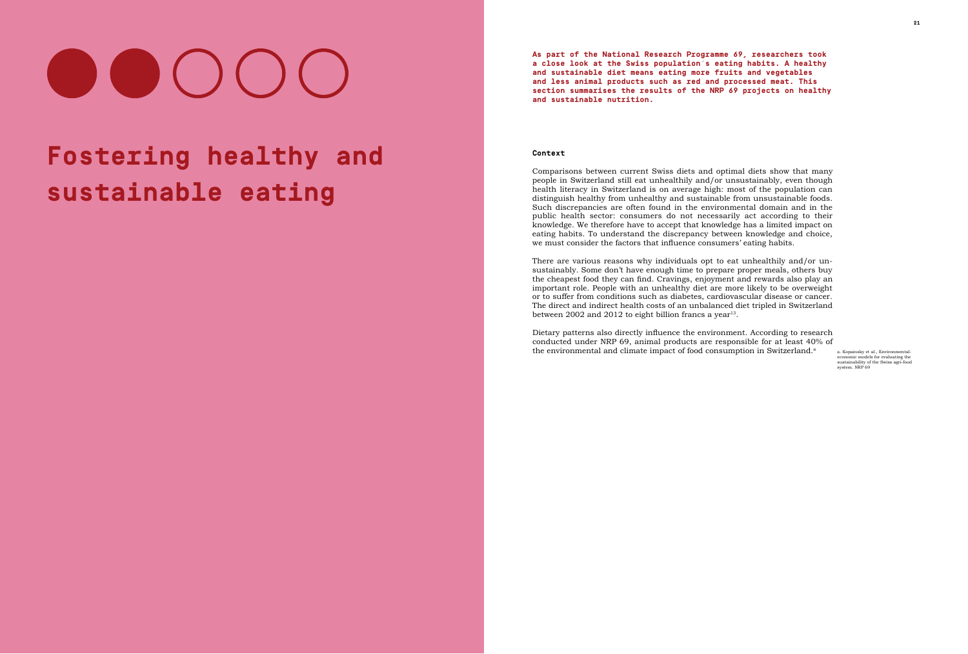# OOOO

## **Fostering healthy and sustainable eating**

There are various reasons why individuals opt to eat unhealthily and/or unsustainably. Some don't have enough time to prepare proper meals, others buy the cheapest food they can find. Cravings, enjoyment and rewards also play an important role. People with an unhealthy diet are more likely to be overweight or to suffer from conditions such as diabetes, cardiovascular disease or cancer. The direct and indirect health costs of an unbalanced diet tripled in Switzerland between 2002 and 2012 to eight billion francs a year<sup>[13](#page--1-0)</sup>.

Dietary patterns also directly influence the environment. According to research conducted under NRP 69, animal products are responsible for at least 40% of the environmental and climate impact of food consumption in Switzerland.<sup>a</sup>

**As part of the National Research Programme 69, researchers took a close look at the Swiss population's eating habits. A healthy and sustainable diet means eating more fruits and vegetables and less animal products such as red and processed meat. This section summarises the results of the NRP 69 projects on healthy and sustainable nutrition.** 

#### **Context**

Comparisons between current Swiss diets and optimal diets show that many people in Switzerland still eat unhealthily and/or unsustainably, even though health literacy in Switzerland is on average high: most of the population can distinguish healthy from unhealthy and sustainable from unsustainable foods. Such discrepancies are often found in the environmental domain and in the public health sector: consumers do not necessarily act according to their knowledge. We therefore have to accept that knowledge has a limited impact on eating habits. To understand the discrepancy between knowledge and choice, we must consider the factors that influence consumers' eating habits.

> [a. Kopainsky et al., Environmental](http://www.nfp69.ch/en/projects/how-can-food-become-more-environmentally-friendly/project-sustainable-agri-food-systems)economic models for evaluating the<br>sustainability of the Swiss agri-food [system. NRP 69](http://www.nfp69.ch/en/projects/how-can-food-become-more-environmentally-friendly/project-sustainable-agri-food-systems)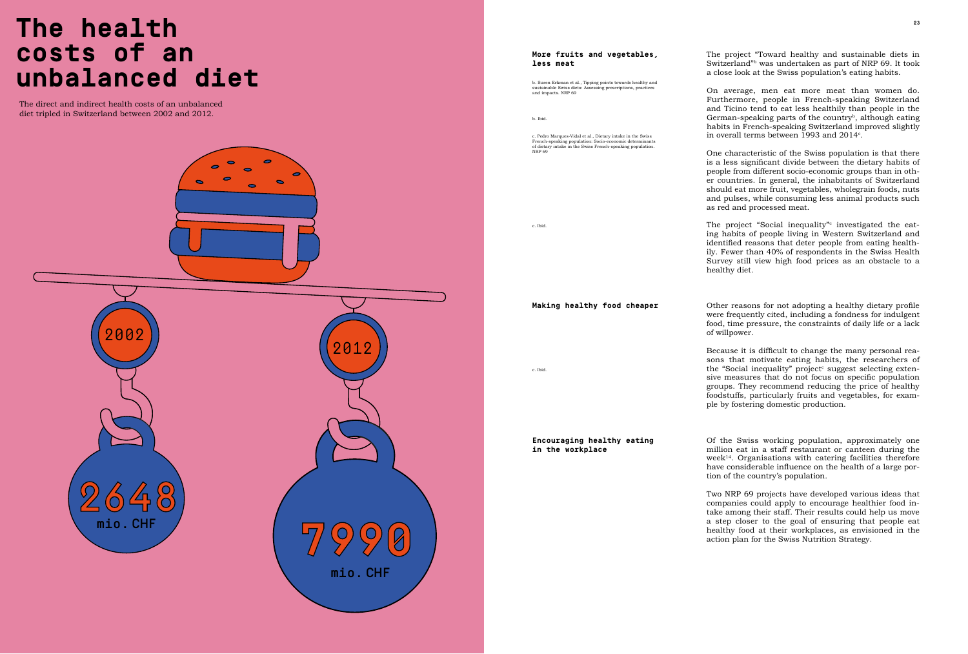### **Fostering healthy and sustainable eating 22 23 The health costs of an unbalanced diet**

The project "Toward healthy and sustainable diets in Switzerland<sup>"b</sup> was undertaken as part of NRP 69. It took a close look at the Swiss population's eating habits.

The direct and indirect health costs of an unbalanced diet tripled in Switzerland between 2002 and 2012.

On average, men eat more meat than women do. Furthermore, people in French-speaking Switzerland and Ticino tend to eat less healthily than people in the German-speaking parts of the country<sup>b</sup>, although eating habits in French-speaking Switzerland improved slightly in overall terms between 1993 and 2014 $^{\circ}$ .



One characteristic of the Swiss population is that there is a less significant divide between the dietary habits of people from different socio-economic groups than in other countries. In general, the inhabitants of Switzerland should eat more fruit, vegetables, wholegrain foods, nuts and pulses, while consuming less animal products such as red and processed meat.

The project "Social inequality" $\rm ^\circ$  investigated the eating habits of people living in Western Switzerland and identified reasons that deter people from eating healthily. Fewer than 40% of respondents in the Swiss Health Survey still view high food prices as an obstacle to a healthy diet.

Other reasons for not adopting a healthy dietary profile were frequently cited, including a fondness for indulgent food, time pressure, the constraints of daily life or a lack

Because it is difficult to change the many personal reasons that motivate eating habits, the researchers of the "Social inequality" project<sup>c</sup> suggest selecting extensive measures that do not focus on specific population groups. They recommend reducing the price of healthy foodstuffs, particularly fruits and vegetables, for example by fostering domestic production.

Of the Swiss working population, approximately one million eat in a staff restaurant or canteen during the  $week<sup>14</sup>$ . Organisations with catering facilities therefore have considerable influence on the health of a large portion of the country's population.

Two NRP 69 projects have developed various ideas that companies could apply to encourage healthier food intake among their staff. Their results could help us move a step closer to the goal of ensuring that people eat healthy food at their workplaces, as envisioned in the action plan for the Swiss Nutrition Strategy.

c. Pedro Marques-Vidal et al., Dietary intake in the Swiss French-speaking population: Socio-economic determinar of dietary intake in the Swiss French-speaking population [NRP 69](http://www.nrp69.ch/en/projects/how-can-healthy-products-remain-affordable/project-social-inequality)

b. Suren Erkman et al., Tipping points towards healthy and sustainable Swiss diets: Assessing prescriptions, practices [and impacts. NRP 69](http://www.nfp69.ch/en/projects/cross-cutting-projects/project-dietary-transition)

of willpower.

**Making healthy food cheaper**

**Encouraging healthy eating in the workplace**

#### **More fruits and vegetables, less meat**

[c. Ibid.](http://www.nrp69.ch/en/projects/how-can-healthy-products-remain-affordable/project-social-inequality)

[c. Ibid.](http://www.nrp69.ch/en/projects/how-can-healthy-products-remain-affordable/project-social-inequality)

[b. Ibid.](http://www.nfp69.ch/en/projects/cross-cutting-projects/project-dietary-transition)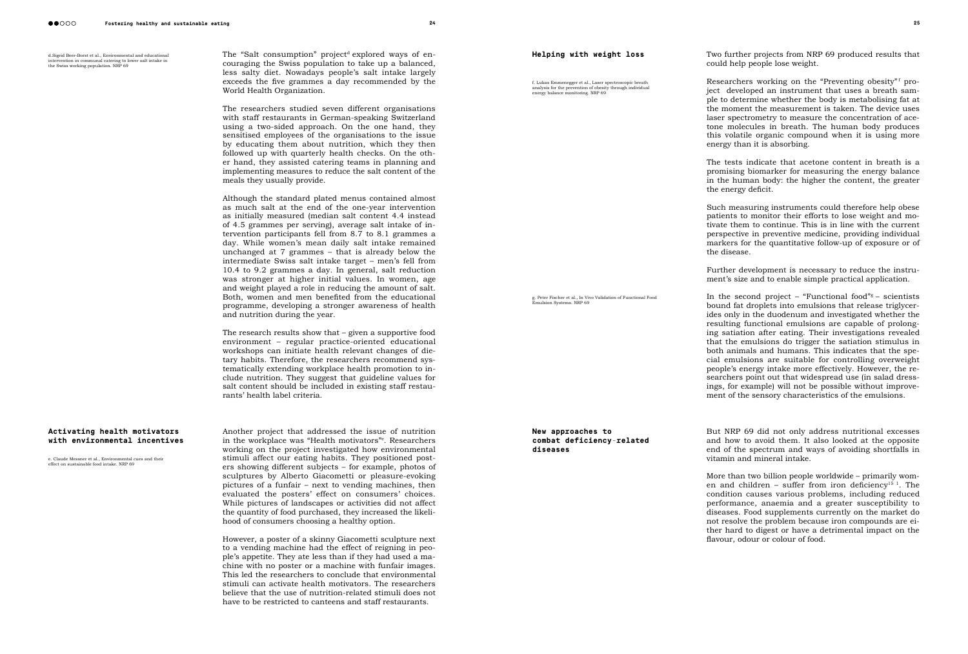d.Sigrid Beer-Borst et al., Environmental and educational intervention in communal catering to lower salt intake in<br>the Swiss working population. NRP 69

The "Salt consumption" project<sup>d</sup> explored ways of encouraging the Swiss population to take up a balanced, less salty diet. Nowadays people's salt intake largely exceeds the five grammes a day recommended by the World Health Organization.

#### **Activating health motivators with environmental incentives**

The researchers studied seven different organisations with staff restaurants in German-speaking Switzerland using a two-sided approach. On the one hand, they sensitised employees of the organisations to the issue by educating them about nutrition, which they then followed up with quarterly health checks. On the other hand, they assisted catering teams in planning and implementing measures to reduce the salt content of the meals they usually provide.

Although the standard plated menus contained almost as much salt at the end of the one-year intervention as initially measured (median salt content 4.4 instead of 4.5 grammes per serving), average salt intake of intervention participants fell from 8.7 to 8.1 grammes a day. While women's mean daily salt intake remained unchanged at 7 grammes – that is already below the intermediate Swiss salt intake target - men's fell from 10.4 to 9.2 grammes a day. In general, salt reduction was stronger at higher initial values. In women, age and weight played a role in reducing the amount of salt. Both, women and men benefited from the educational programme, developing a stronger awareness of health and nutrition during the year.

The research results show that – given a supportive food environment – regular practice-oriented educational workshops can initiate health relevant changes of dietary habits. Therefore, the researchers recommend systematically extending workplace health promotion to include nutrition. They suggest that guideline values for salt content should be included in existing staff restaurants' health label criteria.

Researchers working on the "Preventing obesity"<sup>f</sup> project developed an instrument that uses a breath sample to determine whether the body is metabolising fat at the moment the measurement is taken. The device uses laser spectrometry to measure the concentration of acetone molecules in breath. The human body produces this volatile organic compound when it is using more

Such measuring instruments could therefore help obese patients to monitor their efforts to lose weight and motivate them to continue. This is in line with the current perspective in preventive medicine, providing individual markers for the quantitative follow-up of exposure or of

Further development is necessary to reduce the instrument's size and to enable simple practical application.

Another project that addressed the issue of nutrition in the workplace was "Health motivators"e . Researchers working on the project investigated how environmental stimuli affect our eating habits. They positioned posters showing different subjects – for example, photos of sculptures by Alberto Giacometti or pleasure-evoking pictures of a funfair – next to vending machines, then evaluated the posters' effect on consumers' choices. While pictures of landscapes or activities did not affect the quantity of food purchased, they increased the likelihood of consumers choosing a healthy option.

In the second project – "Functional food" $s$  – scientists bound fat droplets into emulsions that release triglycerides only in the duodenum and investigated whether the resulting functional emulsions are capable of prolonging satiation after eating. Their investigations revealed that the emulsions do trigger the satiation stimulus in both animals and humans. This indicates that the special emulsions are suitable for controlling overweight people's energy intake more effectively. However, the researchers point out that widespread use (in salad dressings, for example) will not be possible without improvement of the sensory characteristics of the emulsions.

More than two billion people worldwide – primarily wom-en and children - suffer from iron deficiency<sup>[15](#page--1-0) 1</sup>. The condition causes various problems, including reduced performance, anaemia and a greater susceptibility to diseases. Food supplements currently on the market do not resolve the problem because iron compounds are either hard to digest or have a detrimental impact on the flavour, odour or colour of food.

However, a poster of a skinny Giacometti sculpture next to a vending machine had the effect of reigning in people's appetite. They ate less than if they had used a machine with no poster or a machine with funfair images. This led the researchers to conclude that environmental stimuli can activate health motivators. The researchers believe that the use of nutrition-related stimuli does not have to be restricted to canteens and staff restaurants.

[e. Claude Messner et al., Environmental cues and their](http://www.nrp69.ch/en/projects/how-can-people-achieve-a-healthy-diet/project-health-motivators)  [effect on sustainable food intake. NRP 69](http://www.nrp69.ch/en/projects/how-can-people-achieve-a-healthy-diet/project-health-motivators)

Two further projects from NRP 69 produced results that could help people lose weight.

energy than it is absorbing.

the energy deficit.

The tests indicate that acetone content in breath is a promising biomarker for measuring the energy balance in the human body: the higher the content, the greater

the disease.

But NRP 69 did not only address nutritional excesses and how to avoid them. It also looked at the opposite end of the spectrum and ways of avoiding shortfalls in vitamin and mineral intake.

#### **Helping with weight loss**

**New approaches to** 

**combat deficiency-related** 

g. Peter Fischer et al., In Vivo Validation of Functional Food<br>Emulsion Systems. NRP 69

**diseases**

[f. Lukas Emmenegger et al., Laser spectroscopic breath](http://www.nfp69.ch/en/projects/how-can-people-achieve-a-healthy-diet/project-preventing-obesity)  [analysis for the prevention of obesity through individual](http://www.nfp69.ch/en/projects/how-can-people-achieve-a-healthy-diet/project-preventing-obesity)  [energy balance monitoring. NRP 69](http://www.nfp69.ch/en/projects/how-can-people-achieve-a-healthy-diet/project-preventing-obesity)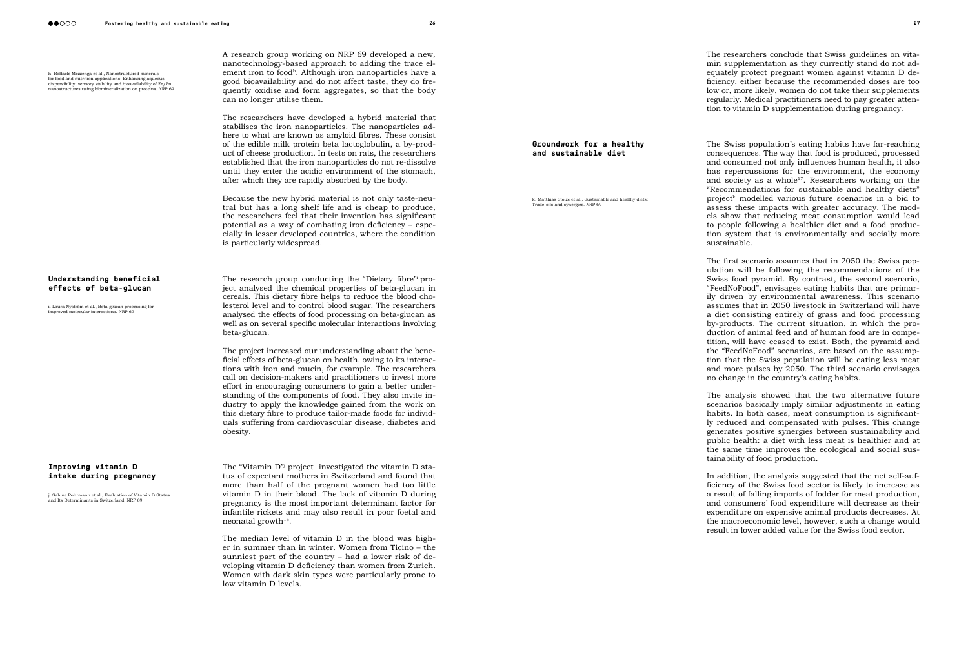h. Raffaele Mezzenga et al., Nanostructured minerals for food and nutrition applications: Enhancing aqueous<br>dispersibility, sensory stability and bioavailability of Fe/Zn<br>nanostructures using biomineralization on proteins. NRP 69 A research group working on NRP 69 developed a new, nanotechnology-based approach to adding the trace element iron to foodh. Although iron nanoparticles have a good bioavailability and do not affect taste, they do frequently oxidise and form aggregates, so that the body can no longer utilise them.

The researchers have developed a hybrid material that stabilises the iron nanoparticles. The nanoparticles adhere to what are known as amyloid fibres. These consist of the edible milk protein beta lactoglobulin, a by-product of cheese production. In tests on rats, the researchers established that the iron nanoparticles do not re-dissolve until they enter the acidic environment of the stomach, after which they are rapidly absorbed by the body.

The research group conducting the "Dietary fibre" project analysed the chemical properties of beta-glucan in cereals. This dietary fibre helps to reduce the blood cholesterol level and to control blood sugar. The researchers analysed the effects of food processing on beta-glucan as well as on several specific molecular interactions involving beta-glucan.

Because the new hybrid material is not only taste-neutral but has a long shelf life and is cheap to produce, the researchers feel that their invention has significant potential as a way of combating iron deficiency – especially in lesser developed countries, where the condition is particularly widespread.

The "Vitamin D"j project investigated the vitamin D status of expectant mothers in Switzerland and found that more than half of the pregnant women had too little vitamin D in their blood. The lack of vitamin D during pregnancy is the most important determinant factor for infantile rickets and may also result in poor foetal and neonatal growth $16$ .

The researchers conclude that Swiss guidelines on vitamin supplementation as they currently stand do not adequately protect pregnant women against vitamin D deficiency, either because the recommended doses are too low or, more likely, women do not take their supplements regularly. Medical practitioners need to pay greater attention to vitamin D supplementation during pregnancy.

The project increased our understanding about the beneficial effects of beta-glucan on health, owing to its interactions with iron and mucin, for example. The researchers call on decision-makers and practitioners to invest more effort in encouraging consumers to gain a better understanding of the components of food. They also invite industry to apply the knowledge gained from the work on this dietary fibre to produce tailor-made foods for individuals suffering from cardiovascular disease, diabetes and obesity.

The Swiss population's eating habits have far-reaching consequences. The way that food is produced, processed and consumed not only influences human health, it also has repercussions for the environment, the economy and society as a whole<sup>17</sup>. Researchers working on the "Recommendations for sustainable and healthy diets" projectk modelled various future scenarios in a bid to assess these impacts with greater accuracy. The models show that reducing meat consumption would lead to people following a healthier diet and a food production system that is environmentally and socially more sustainable.

The first scenario assumes that in 2050 the Swiss population will be following the recommendations of the Swiss food pyramid. By contrast, the second scenario, "FeedNoFood", envisages eating habits that are primarily driven by environmental awareness. This scenario assumes that in 2050 livestock in Switzerland will have a diet consisting entirely of grass and food processing by-products. The current situation, in which the production of animal feed and of human food are in competition, will have ceased to exist. Both, the pyramid and the "FeedNoFood" scenarios, are based on the assumption that the Swiss population will be eating less meat and more pulses by 2050. The third scenario envisages no change in the country's eating habits.

The median level of vitamin D in the blood was higher in summer than in winter. Women from Ticino – the sunniest part of the country – had a lower risk of developing vitamin D deficiency than women from Zurich. Women with dark skin types were particularly prone to low vitamin D levels.

In addition, the analysis suggested that the net self-sufficiency of the Swiss food sector is likely to increase as a result of falling imports of fodder for meat production, and consumers' food expenditure will decrease as their expenditure on expensive animal products decreases. At the macroeconomic level, however, such a change would result in lower added value for the Swiss food sector.

#### **Improving vitamin D intake during pregnancy**

i. Sabine Rohrmann et al., Evaluation of Vitamin D Status ,<br>and Its Determinants in Switzerland, NRP 69.

#### **Understanding beneficial effects of beta-glucan**

[i. Laura Nyström et al., Beta-glucan processing for](http://www.nrp69.ch/en/projects/how-can-healthy-products-remain-affordable/project-dietary-fibres)  [improved molecular interactions. NRP 69](http://www.nrp69.ch/en/projects/how-can-healthy-products-remain-affordable/project-dietary-fibres)

k Matthias Stolze et al. Sustainable and healthy diets: [Trade-offs and synergies. NRP 69](http://www.nrp69.ch/en/projects/cross-cutting-projects/project-diets-of-the-future)

> The analysis showed that the two alternative future scenarios basically imply similar adjustments in eating habits. In both cases, meat consumption is significantly reduced and compensated with pulses. This change generates positive synergies between sustainability and public health: a diet with less meat is healthier and at the same time improves the ecological and social sustainability of food production.

#### **Groundwork for a healthy and sustainable diet**